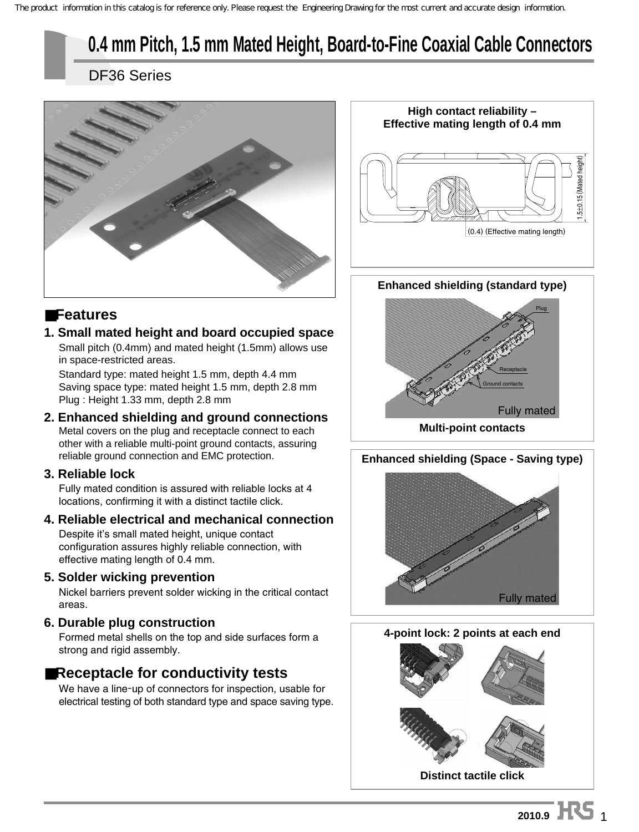# **0.4 mm Pitch, 1.5 mm Mated Height, Board-to-Fine Coaxial Cable Connectors**

DF36 Series



## ■**Features**

#### **1. Small mated height and board occupied space** Small pitch (0.4mm) and mated height (1.5mm) allows use in space-restricted areas.

Standard type: mated height 1.5 mm, depth 4.4 mm Saving space type: mated height 1.5 mm, depth 2.8 mm Plug : Height 1.33 mm, depth 2.8 mm

#### **2. Enhanced shielding and ground connections**  Metal covers on the plug and receptacle connect to each other with a reliable multi-point ground contacts, assuring reliable ground connection and EMC protection.

### **3. Reliable lock**

Fully mated condition is assured with reliable locks at 4 locations, confirming it with a distinct tactile click.

#### **4. Reliable electrical and mechanical connection**  Despite it's small mated height, unique contact

configuration assures highly reliable connection, with effective mating length of 0.4 mm.

### **5. Solder wicking prevention**

Nickel barriers prevent solder wicking in the critical contact areas.

### **6. Durable plug construction**

Formed metal shells on the top and side surfaces form a strong and rigid assembly.

## ■**Receptacle for conductivity tests**

We have a line-up of connectors for inspection, usable for electrical testing of both standard type and space saving type.



#### **Enhanced shielding (standard type)**



**Multi-point contacts**



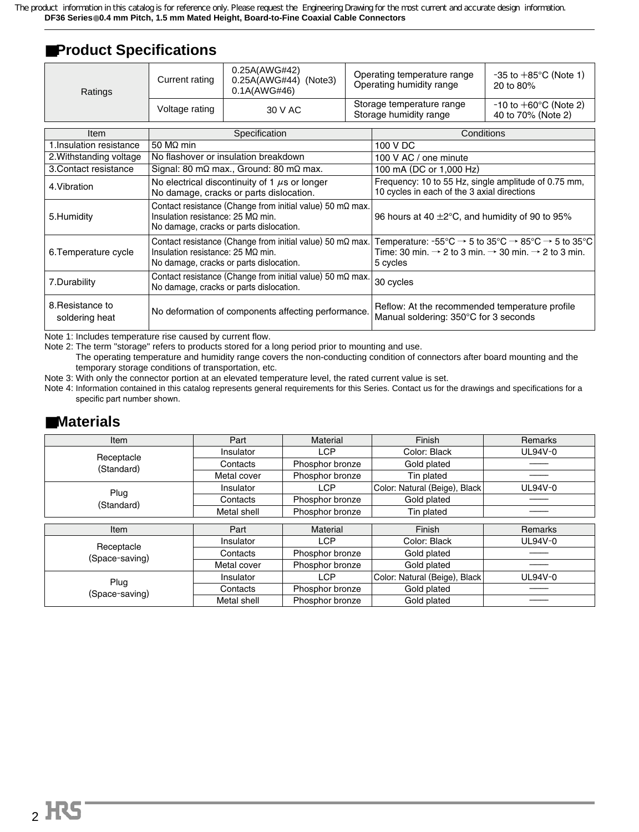## ■**Product Specifications**

| Ratings                            | Current rating                                                                                                                                                   | 0.25A(AWG#42)<br>$0.25A(AWG#44)$ (Note3)<br>0.1A(AWG#46) |  | Operating temperature range<br>Operating humidity range                                                                                                                                                                  | $-35$ to $+85^{\circ}$ C (Note 1)<br>20 to 80%          |  |
|------------------------------------|------------------------------------------------------------------------------------------------------------------------------------------------------------------|----------------------------------------------------------|--|--------------------------------------------------------------------------------------------------------------------------------------------------------------------------------------------------------------------------|---------------------------------------------------------|--|
|                                    | Voltage rating                                                                                                                                                   | 30 V AC                                                  |  | Storage temperature range<br>Storage humidity range                                                                                                                                                                      | $-10$ to $+60^{\circ}$ C (Note 2)<br>40 to 70% (Note 2) |  |
| Item                               |                                                                                                                                                                  | Specification                                            |  | Conditions                                                                                                                                                                                                               |                                                         |  |
| 1. Insulation resistance           | 50 $M2$ min                                                                                                                                                      |                                                          |  | 100 V DC                                                                                                                                                                                                                 |                                                         |  |
| 2. Withstanding voltage            |                                                                                                                                                                  | No flashover or insulation breakdown                     |  | 100 V AC / one minute                                                                                                                                                                                                    |                                                         |  |
| 3. Contact resistance              |                                                                                                                                                                  | Signal: 80 m $\Omega$ max., Ground: 80 m $\Omega$ max.   |  | 100 mA (DC or 1,000 Hz)                                                                                                                                                                                                  |                                                         |  |
| 4. Vibration                       | No electrical discontinuity of 1 $\mu$ s or longer<br>No damage, cracks or parts dislocation.                                                                    |                                                          |  | Frequency: 10 to 55 Hz, single amplitude of 0.75 mm,<br>10 cycles in each of the 3 axial directions                                                                                                                      |                                                         |  |
| 5. Humidity                        | Contact resistance (Change from initial value) 50 m $\Omega$ max.<br>Insulation resistance: $25 \text{ M}\Omega$ min.<br>No damage, cracks or parts dislocation. |                                                          |  | 96 hours at 40 $\pm$ 2°C, and humidity of 90 to 95%                                                                                                                                                                      |                                                         |  |
| 6. Temperature cycle               | Contact resistance (Change from initial value) 50 m $\Omega$ max.<br>Insulation resistance: $25 \text{ M}\Omega$ min.<br>No damage, cracks or parts dislocation. |                                                          |  | Temperature: $-55^{\circ}C \rightarrow 5$ to $35^{\circ}C \rightarrow 85^{\circ}C \rightarrow 5$ to $35^{\circ}C$<br>Time: 30 min. $\rightarrow$ 2 to 3 min. $\rightarrow$ 30 min. $\rightarrow$ 2 to 3 min.<br>5 cycles |                                                         |  |
| 7.Durability                       | Contact resistance (Change from initial value) 50 m $\Omega$ max.<br>No damage, cracks or parts dislocation.                                                     |                                                          |  | 30 cycles                                                                                                                                                                                                                |                                                         |  |
| 8. Resistance to<br>soldering heat | No deformation of components affecting performance.                                                                                                              |                                                          |  | Reflow: At the recommended temperature profile<br>Manual soldering: 350°C for 3 seconds                                                                                                                                  |                                                         |  |

Note 1: Includes temperature rise caused by current flow.

Note 2: The term "storage" refers to products stored for a long period prior to mounting and use.

The operating temperature and humidity range covers the non-conducting condition of connectors after board mounting and the temporary storage conditions of transportation, etc.

Note 3: With only the connector portion at an elevated temperature level, the rated current value is set.

Note 4: Information contained in this catalog represents general requirements for this Series. Contact us for the drawings and specifications for a specific part number shown.

### ■**Materials**

| Item           | Part        | Material        | Finish                        | Remarks |
|----------------|-------------|-----------------|-------------------------------|---------|
| Receptacle     | Insulator   | <b>LCP</b>      | Color: Black                  | UL94V-0 |
| (Standard)     | Contacts    | Phosphor bronze | Gold plated                   |         |
|                | Metal cover | Phosphor bronze | Tin plated                    |         |
| Plug           | Insulator   | <b>LCP</b>      | Color: Natural (Beige), Black | UL94V-0 |
| (Standard)     | Contacts    | Phosphor bronze | Gold plated                   |         |
|                | Metal shell | Phosphor bronze | Tin plated                    |         |
|                |             |                 |                               |         |
| Item           | Part        | Material        | Finish                        | Remarks |
| Receptacle     | Insulator   | <b>LCP</b>      | Color: Black                  | UL94V-0 |
| (Space-saving) | Contacts    | Phosphor bronze | Gold plated                   |         |
|                | Metal cover | Phosphor bronze | Gold plated                   |         |
| Plug           | Insulator   | <b>LCP</b>      | Color: Natural (Beige), Black | UL94V-0 |
| (Space-saving) | Contacts    | Phosphor bronze | Gold plated                   |         |
|                | Metal shell | Phosphor bronze | Gold plated                   |         |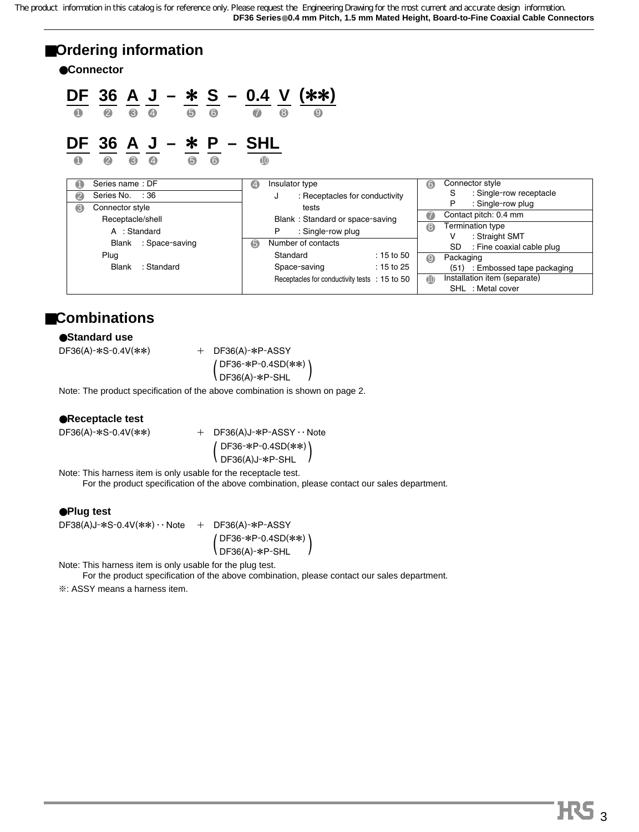## ■**Ordering information**

●**Connector**

$$
\frac{\mathsf{DF}}{9} \frac{36}{9} \frac{\mathsf{A}}{9} \frac{\mathsf{J}}{9} - \frac{\mathsf{*}}{9} \frac{\mathsf{S}}{9} - \frac{0.4}{9} \frac{\mathsf{V}}{9} \frac{(\mathsf{*}\mathsf{*})}{9}
$$

## **DF 36 A J –** \* **P – SHL**

1 2 3 4 5 6 10

| Series name: DF<br>O    | $\bigcirc$<br>Insulator type                  | Connector style<br>$\odot$                     |
|-------------------------|-----------------------------------------------|------------------------------------------------|
| 2<br>Series No. : 36    | : Receptacles for conductivity<br>J           | : Single-row receptacle<br>S                   |
| 6<br>Connector style    | tests                                         | : Single-row plug<br>P                         |
| Receptacle/shell        | Blank: Standard or space-saving               | Contact pitch: 0.4 mm<br>$\bullet$             |
| A : Standard            | : Single-row plug<br>Р                        | <b>Termination type</b><br>6<br>: Straight SMT |
| : Space-saving<br>Blank | Number of contacts<br>6                       | <b>SD</b><br>: Fine coaxial cable plug         |
| Plug                    | Standard<br>$: 15$ to 50                      | Packaging<br>$\boldsymbol{\Theta}$             |
| : Standard<br>Blank     | $: 15$ to 25<br>Space-saving                  | : Embossed tape packaging<br>(51)              |
|                         | Receptacles for conductivity tests : 15 to 50 | Installation item (separate)<br><b>10</b>      |
|                         |                                               | SHL : Metal cover                              |

## ■**Combinations**

#### ●**Standard use**

 $DF36(A)$ - $\ast$ S-0.4V( $\ast\ast$ ) + DF36(A)- $\ast$ P-ASSY

DF36-\*P-0.4SD(\*\*)  $\left( \frac{DF36(A)-*P-SHL}{D} \right)$ 

Note: The product specification of the above combination is shown on page 2.

#### ●**Receptacle test**

 $DF36(A)$ -\*S-0.4V(\*\*) + DF36(A)J-\*P-ASSY · · Note DF36-\*P-0.4SD(\*\*)  $\left( \frac{DF36(A)J-FP-SHL}{D} \right)$ 

Note: This harness item is only usable for the receptacle test.

For the product specification of the above combination, please contact our sales department.

#### ●**Plug test**

 $DF38(A)J-*S-0.4V(**)\cdots$  Note  $+$  DF36(A)-\*P-ASSY DF36-\*P-0.4SD(\*\*)  $\left( \frac{DF36(A)-*P-SHL}{D} \right)$ 

Note: This harness item is only usable for the plug test.

For the product specification of the above combination, please contact our sales department.

 $\&$ : ASSY means a harness item.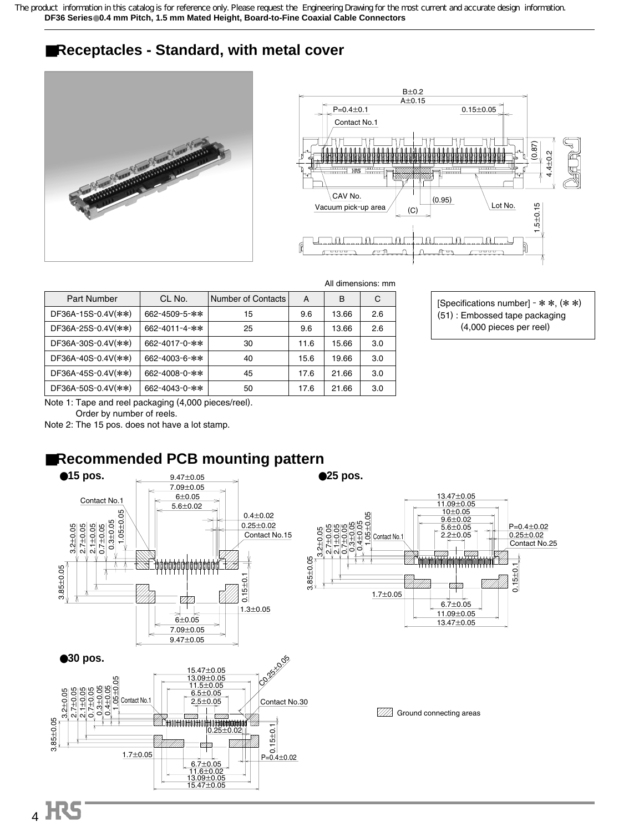## ■**Receptacles - Standard, with metal cover**





| С   |
|-----|
| 2.6 |
| 2.6 |
| 3.0 |
| 3.0 |
| 3.0 |
| 3.0 |
|     |

[Specifications number] -  $* *$ ,  $(* *$ ) (51) : Embossed tape packaging (4,000 pieces per reel)

Note 1: Tape and reel packaging (4,000 pieces/reel).

Order by number of reels.

Note 2: The 15 pos. does not have a lot stamp.

## ■**Recommended PCB mounting pattern**

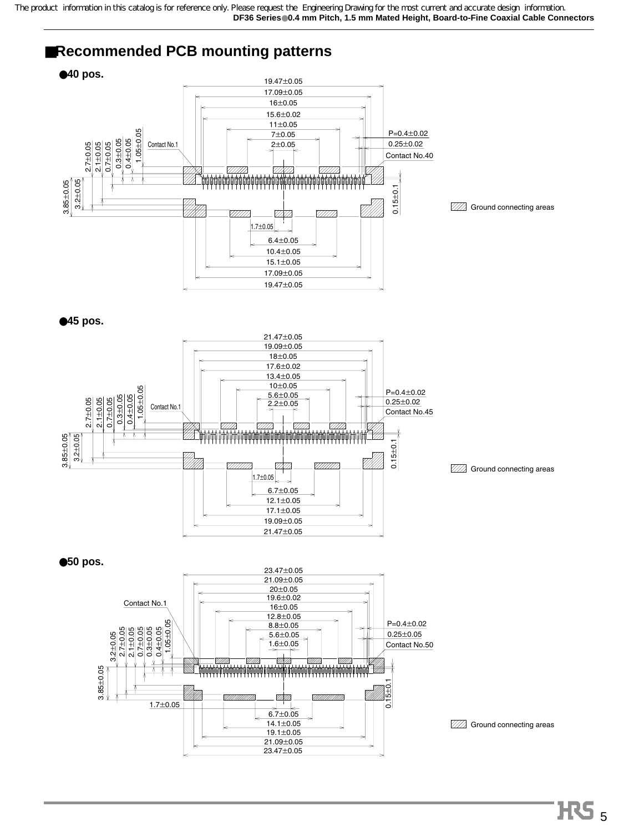## ■**Recommended PCB mounting patterns**



●**45 pos.**



**WA** Ground connecting areas

●**50 pos.**



**WA** Ground connecting areas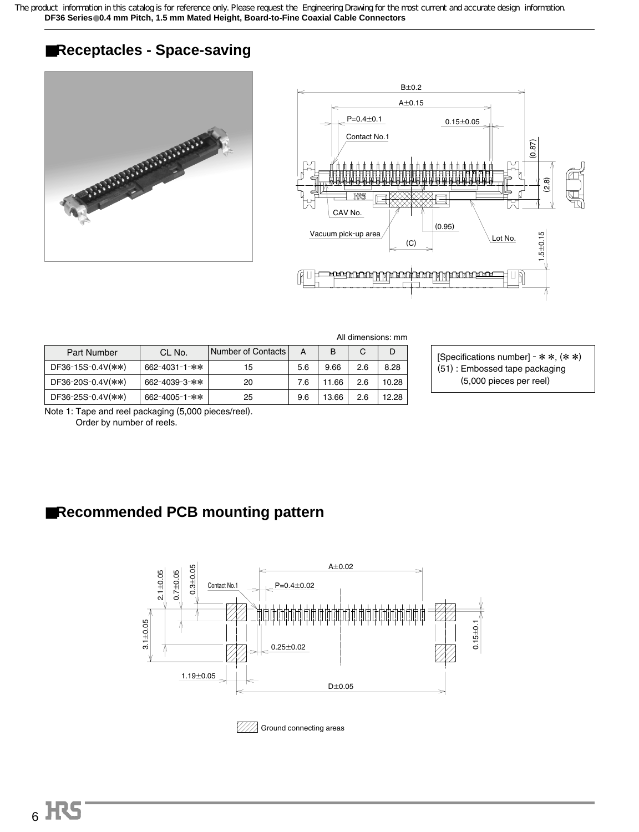## ■**Receptacles - Space-saving**





|                   |               |                    |     |       |     | All dimensions: mm |
|-------------------|---------------|--------------------|-----|-------|-----|--------------------|
| Part Number       | CL No.        | Number of Contacts | A   | в     | C   | D                  |
| DF36-15S-0.4V(**) | 662-4031-1-** | 15                 | 5.6 | 9.66  | 2.6 | 8.28               |
| DF36-20S-0.4V(**) | 662-4039-3-** | 20                 | 7.6 | 11.66 | 2.6 | 10.28              |
| DF36-25S-0.4V(**) | 662-4005-1-** | 25                 | 9.6 | 13.66 | 2.6 | 12.28              |

[Specifications number] -  $*$   $*$ ,  $(*$   $*)$ (51) : Embossed tape packaging (5,000 pieces per reel)

Note 1: Tape and reel packaging (5,000 pieces/reel).

Order by number of reels.

## ■**Recommended PCB mounting pattern**



 $\mathbb{Z}/\mathbb{Z}$  Ground connecting areas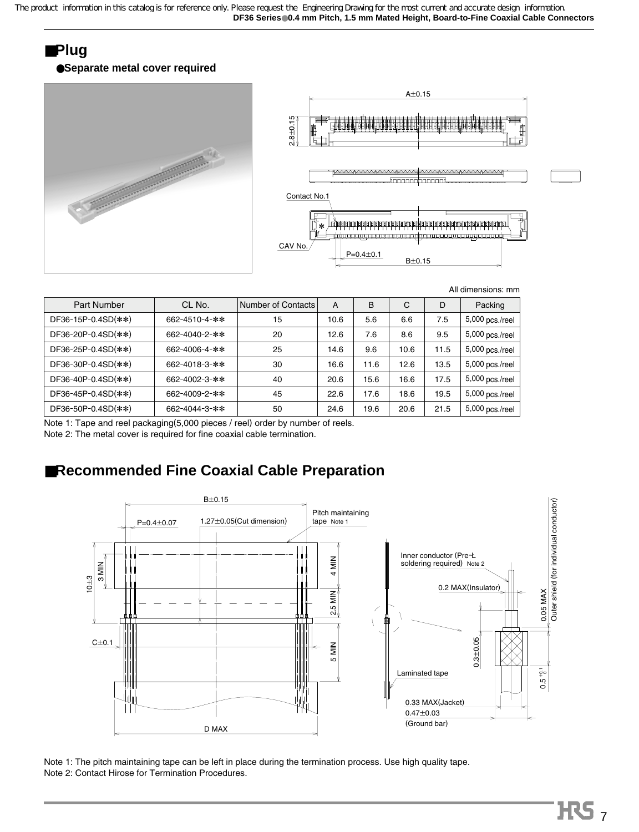## ■**Plug**

#### ●**Separate metal cover required**



| Part Number        | CL No.        | Number of Contacts | A    | B    | С    | D    | Packing         |
|--------------------|---------------|--------------------|------|------|------|------|-----------------|
| DF36-15P-0.4SD(**) | 662-4510-4-** | 15                 | 10.6 | 5.6  | 6.6  | 7.5  | 5,000 pcs./reel |
| DF36-20P-0.4SD(**) | 662-4040-2-** | 20                 | 12.6 | 7.6  | 8.6  | 9.5  | 5,000 pcs./reel |
| DF36-25P-0.4SD(**) | 662-4006-4-** | 25                 | 14.6 | 9.6  | 10.6 | 11.5 | 5,000 pcs./reel |
| DF36-30P-0.4SD(**) | 662-4018-3-** | 30                 | 16.6 | 11.6 | 12.6 | 13.5 | 5,000 pcs./reel |
| DF36-40P-0.4SD(**) | 662-4002-3-** | 40                 | 20.6 | 15.6 | 16.6 | 17.5 | 5,000 pcs./reel |
| DF36-45P-0.4SD(**) | 662-4009-2-** | 45                 | 22.6 | 17.6 | 18.6 | 19.5 | 5,000 pcs./reel |
| DF36-50P-0.4SD(**) | 662-4044-3-** | 50                 | 24.6 | 19.6 | 20.6 | 21.5 | 5,000 pcs./reel |
|                    |               |                    |      |      |      |      |                 |

Note 1: Tape and reel packaging(5,000 pieces / reel) order by number of reels. Note 2: The metal cover is required for fine coaxial cable termination.

## ■**Recommended Fine Coaxial Cable Preparation**



Note 1: The pitch maintaining tape can be left in place during the termination process. Use high quality tape. Note 2: Contact Hirose for Termination Procedures.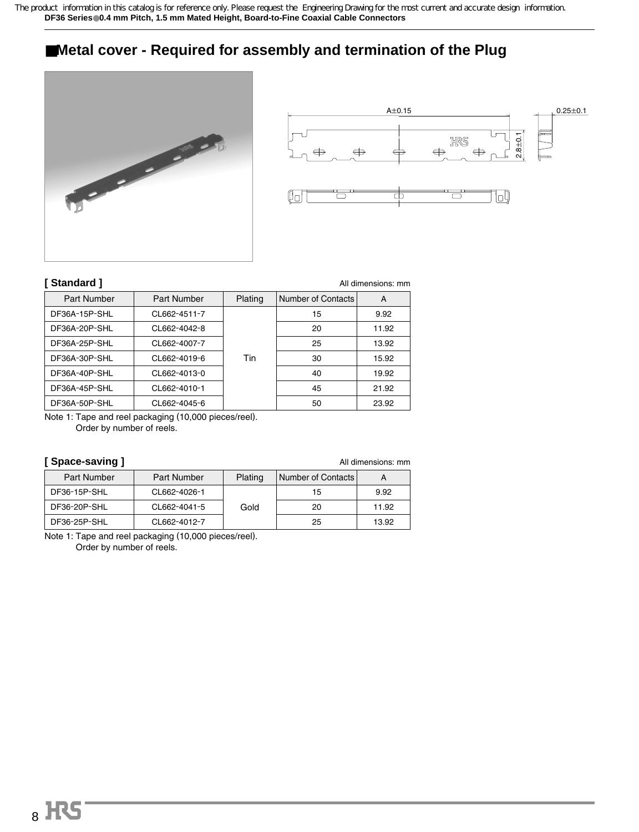## ■**Metal cover - Required for assembly and termination of the Plug**





#### **[ Standard ]**

| Standard ]    |                    |         |                           | All dimensions: mm |
|---------------|--------------------|---------|---------------------------|--------------------|
| Part Number   | <b>Part Number</b> | Plating | <b>Number of Contacts</b> | A                  |
| DF36A-15P-SHL | CL662-4511-7       |         | 15                        | 9.92               |
| DF36A-20P-SHL | CL662-4042-8       |         | 20                        | 11.92              |
| DF36A-25P-SHL | CL662-4007-7       |         | 25                        | 13.92              |
| DF36A-30P-SHL | CL662-4019-6       | Tin     | 30                        | 15.92              |
| DF36A-40P-SHL | CL662-4013-0       |         | 40                        | 19.92              |
| DF36A-45P-SHL | CL662-4010-1       |         | 45                        | 21.92              |
| DF36A-50P-SHL | CL662-4045-6       |         | 50                        | 23.92              |
|               |                    |         |                           |                    |

Note 1: Tape and reel packaging (10,000 pieces/reel). Order by number of reels.

#### **[ Space-saving ]**

All dimensions: mm

| <b>Part Number</b> | <b>Part Number</b> | Plating | Number of Contacts | A     |
|--------------------|--------------------|---------|--------------------|-------|
| DF36-15P-SHL       | CL662-4026-1       |         | 15                 | 9.92  |
| DF36-20P-SHL       | CL662-4041-5       | Gold    | 20                 | 11.92 |
| DF36-25P-SHL       | CL662-4012-7       |         | 25                 | 13.92 |

Note 1: Tape and reel packaging (10,000 pieces/reel). Order by number of reels.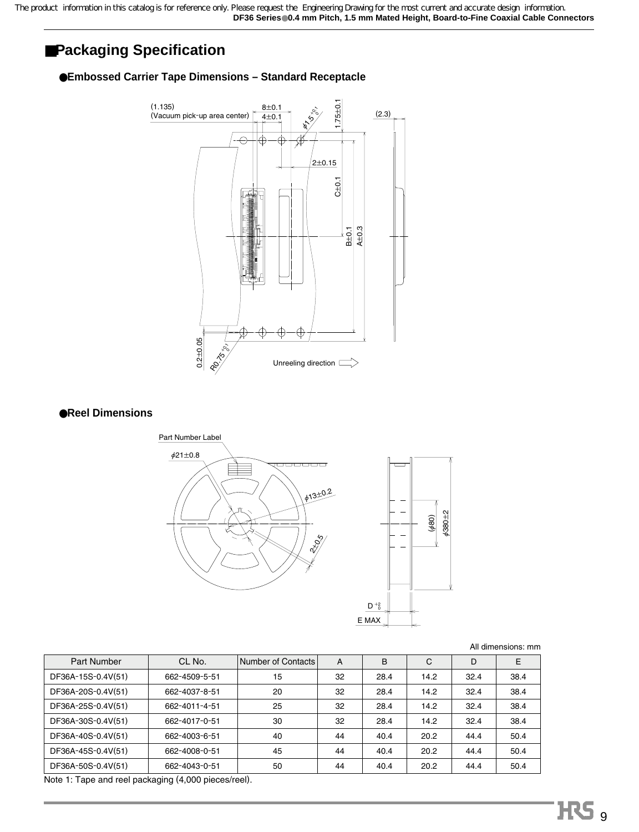## ■**Packaging Specification**

#### ●**Embossed Carrier Tape Dimensions – Standard Receptacle**



#### ●**Reel Dimensions**



All dimensions: mm

| <b>Part Number</b> | CL No.        | Number of Contacts | A  | B    | C    | D    | E    |
|--------------------|---------------|--------------------|----|------|------|------|------|
| DF36A-15S-0.4V(51) | 662-4509-5-51 | 15                 | 32 | 28.4 | 14.2 | 32.4 | 38.4 |
| DF36A-20S-0.4V(51) | 662-4037-8-51 | 20                 | 32 | 28.4 | 14.2 | 32.4 | 38.4 |
| DF36A-25S-0.4V(51) | 662-4011-4-51 | 25                 | 32 | 28.4 | 14.2 | 32.4 | 38.4 |
| DF36A-30S-0.4V(51) | 662-4017-0-51 | 30                 | 32 | 28.4 | 14.2 | 32.4 | 38.4 |
| DF36A-40S-0.4V(51) | 662-4003-6-51 | 40                 | 44 | 40.4 | 20.2 | 44.4 | 50.4 |
| DF36A-45S-0.4V(51) | 662-4008-0-51 | 45                 | 44 | 40.4 | 20.2 | 44.4 | 50.4 |
| DF36A-50S-0.4V(51) | 662-4043-0-51 | 50                 | 44 | 40.4 | 20.2 | 44.4 | 50.4 |

Note 1: Tape and reel packaging (4,000 pieces/reel).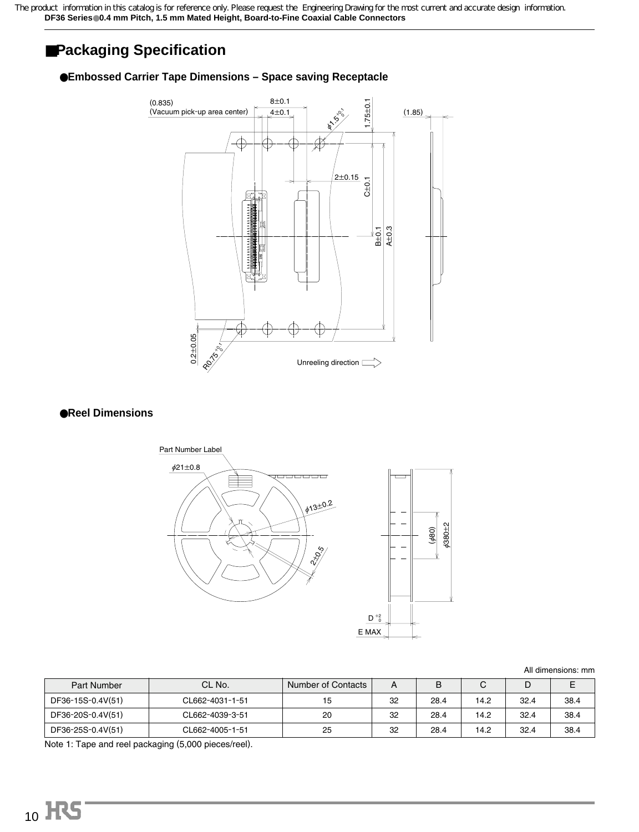## ■**Packaging Specification**

#### ●**Embossed Carrier Tape Dimensions – Space saving Receptacle**



#### ●**Reel Dimensions**



All dimensions: mm

| Part Number       | CL No.          | Number of Contacts | A  | B    | ັ    | D    |      |
|-------------------|-----------------|--------------------|----|------|------|------|------|
| DF36-15S-0.4V(51) | CL662-4031-1-51 | 15                 | 32 | 28.4 | 14.2 | 32.4 | 38.4 |
| DF36-20S-0.4V(51) | CL662-4039-3-51 | 20                 | 32 | 28.4 | 14.2 | 32.4 | 38.4 |
| DF36-25S-0.4V(51) | CL662-4005-1-51 | 25                 | 32 | 28.4 | 14.2 | 32.4 | 38.4 |

Note 1: Tape and reel packaging (5,000 pieces/reel).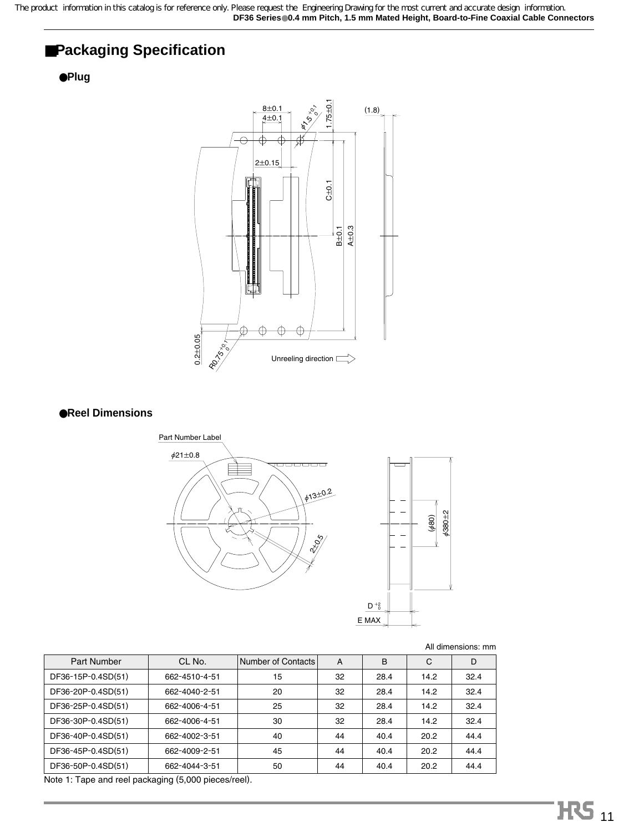## ■**Packaging Specification**

#### ●**Plug**



#### ●**Reel Dimensions**



All dimensions: mm

| Part Number        | CL No.        | Number of Contacts | A  | B    | C    | D    |
|--------------------|---------------|--------------------|----|------|------|------|
| DF36-15P-0.4SD(51) | 662-4510-4-51 | 15                 | 32 | 28.4 | 14.2 | 32.4 |
| DF36-20P-0.4SD(51) | 662-4040-2-51 | 20                 | 32 | 28.4 | 14.2 | 32.4 |
| DF36-25P-0.4SD(51) | 662-4006-4-51 | 25                 | 32 | 28.4 | 14.2 | 32.4 |
| DF36-30P-0.4SD(51) | 662-4006-4-51 | 30                 | 32 | 28.4 | 14.2 | 32.4 |
| DF36-40P-0.4SD(51) | 662-4002-3-51 | 40                 | 44 | 40.4 | 20.2 | 44.4 |
| DF36-45P-0.4SD(51) | 662-4009-2-51 | 45                 | 44 | 40.4 | 20.2 | 44.4 |
| DF36-50P-0.4SD(51) | 662-4044-3-51 | 50                 | 44 | 40.4 | 20.2 | 44.4 |

Note 1: Tape and reel packaging (5,000 pieces/reel).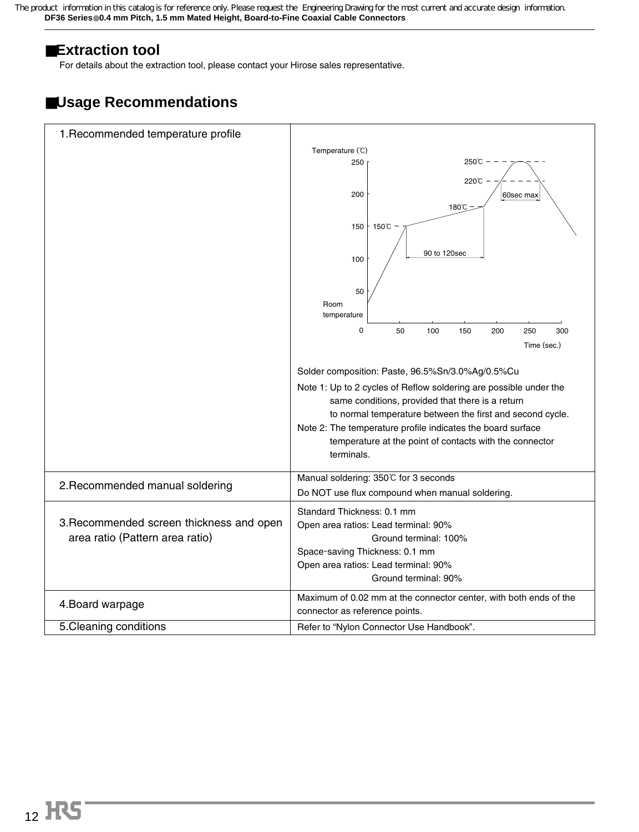## ■**Extraction tool**

For details about the extraction tool, please contact your Hirose sales representative.

## ■**Usage Recommendations**

| 1. Recommended temperature profile       |                                                                   |  |  |  |  |  |
|------------------------------------------|-------------------------------------------------------------------|--|--|--|--|--|
|                                          | Temperature (°C)                                                  |  |  |  |  |  |
|                                          | $250^{\circ}$ C $-$<br>250                                        |  |  |  |  |  |
|                                          |                                                                   |  |  |  |  |  |
|                                          | 220℃                                                              |  |  |  |  |  |
|                                          | 200<br>60sec max                                                  |  |  |  |  |  |
|                                          | 180℃                                                              |  |  |  |  |  |
|                                          |                                                                   |  |  |  |  |  |
|                                          | 150°C<br>150                                                      |  |  |  |  |  |
|                                          | 90 to 120sec<br>100                                               |  |  |  |  |  |
|                                          |                                                                   |  |  |  |  |  |
|                                          | 50                                                                |  |  |  |  |  |
|                                          | Room<br>temperature                                               |  |  |  |  |  |
|                                          |                                                                   |  |  |  |  |  |
|                                          | 0<br>50<br>100<br>150<br>200<br>250<br>300                        |  |  |  |  |  |
|                                          | Time (sec.)                                                       |  |  |  |  |  |
|                                          |                                                                   |  |  |  |  |  |
|                                          | Solder composition: Paste, 96.5%Sn/3.0%Ag/0.5%Cu                  |  |  |  |  |  |
|                                          | Note 1: Up to 2 cycles of Reflow soldering are possible under the |  |  |  |  |  |
|                                          | same conditions, provided that there is a return                  |  |  |  |  |  |
|                                          | to normal temperature between the first and second cycle.         |  |  |  |  |  |
|                                          | Note 2: The temperature profile indicates the board surface       |  |  |  |  |  |
|                                          | temperature at the point of contacts with the connector           |  |  |  |  |  |
|                                          | terminals.                                                        |  |  |  |  |  |
|                                          |                                                                   |  |  |  |  |  |
|                                          | Manual soldering: 350℃ for 3 seconds                              |  |  |  |  |  |
| 2. Recommended manual soldering          | Do NOT use flux compound when manual soldering.                   |  |  |  |  |  |
|                                          | Standard Thickness: 0.1 mm                                        |  |  |  |  |  |
| 3. Recommended screen thickness and open | Open area ratios: Lead terminal: 90%                              |  |  |  |  |  |
| area ratio (Pattern area ratio)          |                                                                   |  |  |  |  |  |
|                                          | Ground terminal: 100%                                             |  |  |  |  |  |
|                                          | Space-saving Thickness: 0.1 mm                                    |  |  |  |  |  |
|                                          | Open area ratios: Lead terminal: 90%                              |  |  |  |  |  |
|                                          | Ground terminal: 90%                                              |  |  |  |  |  |
|                                          | Maximum of 0.02 mm at the connector center, with both ends of the |  |  |  |  |  |
| 4. Board warpage                         | connector as reference points.                                    |  |  |  |  |  |
| 5. Cleaning conditions                   | Refer to "Nylon Connector Use Handbook".                          |  |  |  |  |  |